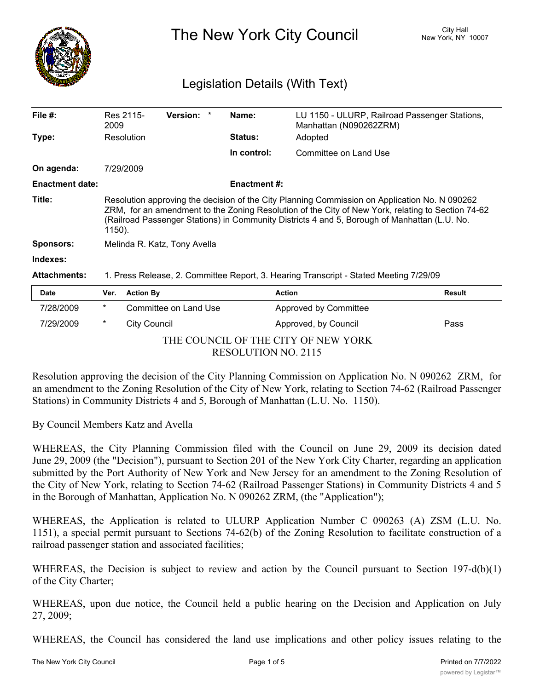

The New York City Council New York, NY 10007

## Legislation Details (With Text)

| Date                   | <b>Action By</b><br>Ver.                                                                                                                                                                                                                                                                                     |                 |  |                     | <b>Action</b>                                                           | <b>Result</b> |  |
|------------------------|--------------------------------------------------------------------------------------------------------------------------------------------------------------------------------------------------------------------------------------------------------------------------------------------------------------|-----------------|--|---------------------|-------------------------------------------------------------------------|---------------|--|
| <b>Attachments:</b>    | 1. Press Release, 2. Committee Report, 3. Hearing Transcript - Stated Meeting 7/29/09                                                                                                                                                                                                                        |                 |  |                     |                                                                         |               |  |
| Indexes:               |                                                                                                                                                                                                                                                                                                              |                 |  |                     |                                                                         |               |  |
| <b>Sponsors:</b>       | Melinda R. Katz, Tony Avella                                                                                                                                                                                                                                                                                 |                 |  |                     |                                                                         |               |  |
| Title:                 | Resolution approving the decision of the City Planning Commission on Application No. N 090262<br>ZRM, for an amendment to the Zoning Resolution of the City of New York, relating to Section 74-62<br>(Railroad Passenger Stations) in Community Districts 4 and 5, Borough of Manhattan (L.U. No.<br>1150). |                 |  |                     |                                                                         |               |  |
| <b>Enactment date:</b> |                                                                                                                                                                                                                                                                                                              |                 |  | <b>Enactment #:</b> |                                                                         |               |  |
| On agenda:             | 7/29/2009                                                                                                                                                                                                                                                                                                    |                 |  |                     |                                                                         |               |  |
|                        |                                                                                                                                                                                                                                                                                                              |                 |  | In control:         | Committee on Land Use                                                   |               |  |
| Type:                  | Resolution                                                                                                                                                                                                                                                                                                   |                 |  | <b>Status:</b>      | Adopted                                                                 |               |  |
| File $#$ :             | Res 2115-<br>2009                                                                                                                                                                                                                                                                                            | <b>Version:</b> |  | Name:               | LU 1150 - ULURP, Railroad Passenger Stations,<br>Manhattan (N090262ZRM) |               |  |

| <b>Date</b>                         |   | Ver. Action By        | <b>Action</b>         | Result |  |  |  |  |
|-------------------------------------|---|-----------------------|-----------------------|--------|--|--|--|--|
| 7/28/2009                           | * | Committee on Land Use | Approved by Committee |        |  |  |  |  |
| 7/29/2009                           | * | City Council          | Approved, by Council  | Pass   |  |  |  |  |
| THE COUNCIL OF THE CITY OF NEW YORK |   |                       |                       |        |  |  |  |  |
| <b>RESOLUTION NO. 2115</b>          |   |                       |                       |        |  |  |  |  |

Resolution approving the decision of the City Planning Commission on Application No. N 090262 ZRM, for an amendment to the Zoning Resolution of the City of New York, relating to Section 74-62 (Railroad Passenger Stations) in Community Districts 4 and 5, Borough of Manhattan (L.U. No. 1150).

By Council Members Katz and Avella

WHEREAS, the City Planning Commission filed with the Council on June 29, 2009 its decision dated June 29, 2009 (the "Decision"), pursuant to Section 201 of the New York City Charter, regarding an application submitted by the Port Authority of New York and New Jersey for an amendment to the Zoning Resolution of the City of New York, relating to Section 74-62 (Railroad Passenger Stations) in Community Districts 4 and 5 in the Borough of Manhattan, Application No. N 090262 ZRM, (the "Application");

WHEREAS, the Application is related to ULURP Application Number C 090263 (A) ZSM (L.U. No. 1151), a special permit pursuant to Sections 74-62(b) of the Zoning Resolution to facilitate construction of a railroad passenger station and associated facilities;

WHEREAS, the Decision is subject to review and action by the Council pursuant to Section 197-d(b)(1) of the City Charter;

WHEREAS, upon due notice, the Council held a public hearing on the Decision and Application on July 27, 2009;

WHEREAS, the Council has considered the land use implications and other policy issues relating to the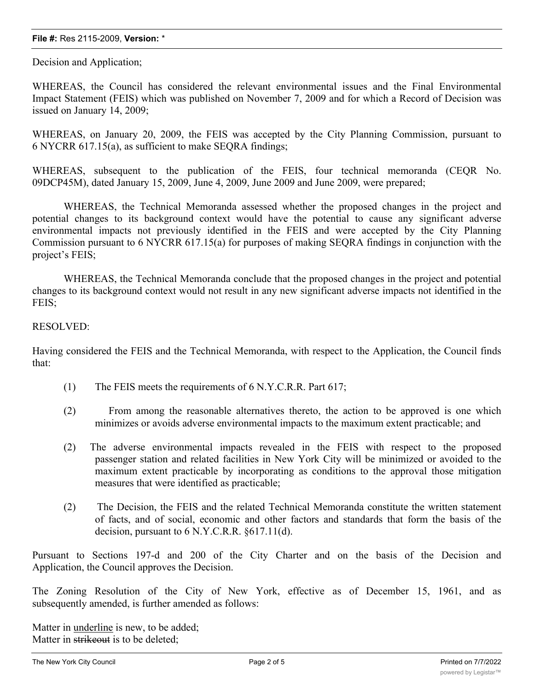#### **File #:** Res 2115-2009, **Version:** \*

Decision and Application;

WHEREAS, the Council has considered the relevant environmental issues and the Final Environmental Impact Statement (FEIS) which was published on November 7, 2009 and for which a Record of Decision was issued on January 14, 2009;

WHEREAS, on January 20, 2009, the FEIS was accepted by the City Planning Commission, pursuant to 6 NYCRR 617.15(a), as sufficient to make SEQRA findings;

WHEREAS, subsequent to the publication of the FEIS, four technical memoranda (CEQR No. 09DCP45M), dated January 15, 2009, June 4, 2009, June 2009 and June 2009, were prepared;

WHEREAS, the Technical Memoranda assessed whether the proposed changes in the project and potential changes to its background context would have the potential to cause any significant adverse environmental impacts not previously identified in the FEIS and were accepted by the City Planning Commission pursuant to 6 NYCRR 617.15(a) for purposes of making SEQRA findings in conjunction with the project's FEIS;

WHEREAS, the Technical Memoranda conclude that the proposed changes in the project and potential changes to its background context would not result in any new significant adverse impacts not identified in the FEIS;

#### RESOLVED:

Having considered the FEIS and the Technical Memoranda, with respect to the Application, the Council finds that:

- (1) The FEIS meets the requirements of 6 N.Y.C.R.R. Part 617;
- (2) From among the reasonable alternatives thereto, the action to be approved is one which minimizes or avoids adverse environmental impacts to the maximum extent practicable; and
- (2) The adverse environmental impacts revealed in the FEIS with respect to the proposed passenger station and related facilities in New York City will be minimized or avoided to the maximum extent practicable by incorporating as conditions to the approval those mitigation measures that were identified as practicable;
- (2) The Decision, the FEIS and the related Technical Memoranda constitute the written statement of facts, and of social, economic and other factors and standards that form the basis of the decision, pursuant to 6 N.Y.C.R.R. §617.11(d).

Pursuant to Sections 197-d and 200 of the City Charter and on the basis of the Decision and Application, the Council approves the Decision.

The Zoning Resolution of the City of New York, effective as of December 15, 1961, and as subsequently amended, is further amended as follows:

Matter in underline is new, to be added; Matter in strikeout is to be deleted: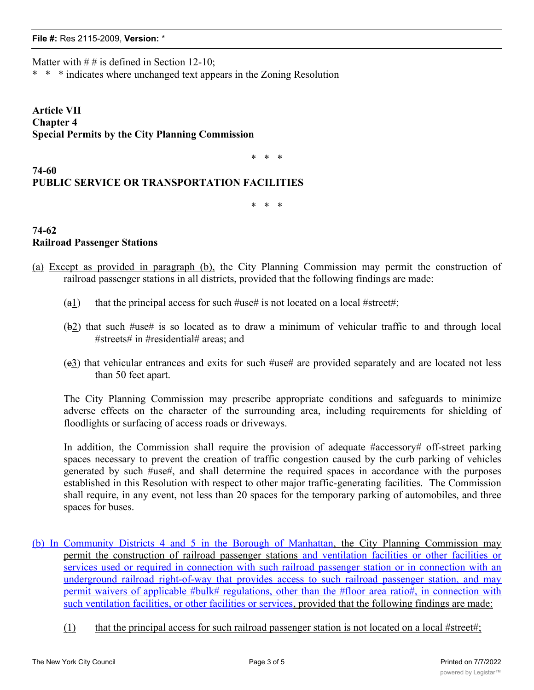### **File #:** Res 2115-2009, **Version:** \*

Matter with  $# #$  is defined in Section 12-10;

\* \* \* indicates where unchanged text appears in the Zoning Resolution

**Article VII Chapter 4 Special Permits by the City Planning Commission**

\* \* \*

# **PUBLIC SERVICE OR TRANSPORTATION FACILITIES**

\* \* \*

**74-62 Railroad Passenger Stations**

**74-60**

- (a) Except as provided in paragraph (b), the City Planning Commission may permit the construction of railroad passenger stations in all districts, provided that the following findings are made:
	- (a1) that the principal access for such  $\#$ use# is not located on a local  $\#$ street#;
	- (b2) that such #use# is so located as to draw a minimum of vehicular traffic to and through local #streets# in #residential# areas; and
	- (c3) that vehicular entrances and exits for such #use# are provided separately and are located not less than 50 feet apart.

The City Planning Commission may prescribe appropriate conditions and safeguards to minimize adverse effects on the character of the surrounding area, including requirements for shielding of floodlights or surfacing of access roads or driveways.

In addition, the Commission shall require the provision of adequate #accessory# off-street parking spaces necessary to prevent the creation of traffic congestion caused by the curb parking of vehicles generated by such #use#, and shall determine the required spaces in accordance with the purposes established in this Resolution with respect to other major traffic-generating facilities. The Commission shall require, in any event, not less than 20 spaces for the temporary parking of automobiles, and three spaces for buses.

- (b) In Community Districts 4 and 5 in the Borough of Manhattan, the City Planning Commission may permit the construction of railroad passenger stations and ventilation facilities or other facilities or services used or required in connection with such railroad passenger station or in connection with an underground railroad right-of-way that provides access to such railroad passenger station, and may permit waivers of applicable #bulk# regulations, other than the #floor area ratio#, in connection with such ventilation facilities, or other facilities or services, provided that the following findings are made:
	- (1) that the principal access for such railroad passenger station is not located on a local #street#;

 $(2)$  that such railroad passenger station is so located as to draw a minimum of vehicular traffic to  $\frac{1}{\sqrt{2}}$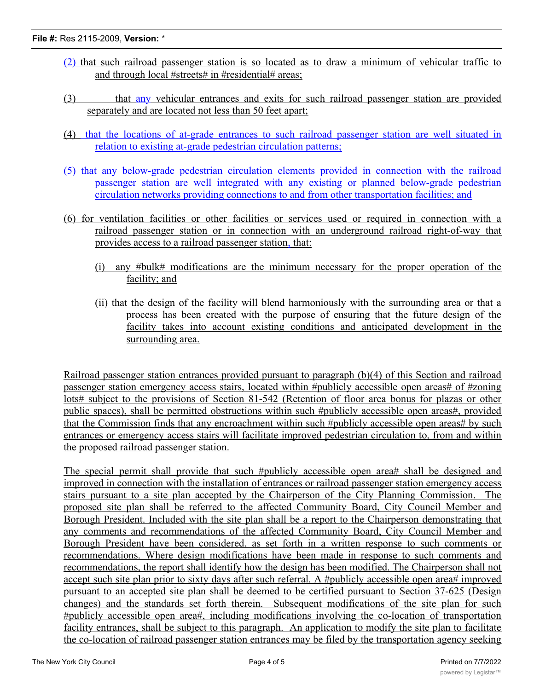- (2) that such railroad passenger station is so located as to draw a minimum of vehicular traffic to and through local #streets# in #residential# areas;
- (3) that any vehicular entrances and exits for such railroad passenger station are provided separately and are located not less than 50 feet apart;
- (4) that the locations of at-grade entrances to such railroad passenger station are well situated in relation to existing at-grade pedestrian circulation patterns;
- (5) that any below-grade pedestrian circulation elements provided in connection with the railroad passenger station are well integrated with any existing or planned below-grade pedestrian circulation networks providing connections to and from other transportation facilities; and
- (6) for ventilation facilities or other facilities or services used or required in connection with a railroad passenger station or in connection with an underground railroad right-of-way that provides access to a railroad passenger station, that:
	- (i) any #bulk# modifications are the minimum necessary for the proper operation of the facility; and
	- (ii) that the design of the facility will blend harmoniously with the surrounding area or that a process has been created with the purpose of ensuring that the future design of the facility takes into account existing conditions and anticipated development in the surrounding area.

Railroad passenger station entrances provided pursuant to paragraph (b)(4) of this Section and railroad passenger station emergency access stairs, located within #publicly accessible open areas# of #zoning lots# subject to the provisions of Section 81-542 (Retention of floor area bonus for plazas or other public spaces), shall be permitted obstructions within such #publicly accessible open areas#, provided that the Commission finds that any encroachment within such #publicly accessible open areas# by such entrances or emergency access stairs will facilitate improved pedestrian circulation to, from and within the proposed railroad passenger station.

The special permit shall provide that such #publicly accessible open area# shall be designed and improved in connection with the installation of entrances or railroad passenger station emergency access stairs pursuant to a site plan accepted by the Chairperson of the City Planning Commission. The proposed site plan shall be referred to the affected Community Board, City Council Member and Borough President. Included with the site plan shall be a report to the Chairperson demonstrating that any comments and recommendations of the affected Community Board, City Council Member and Borough President have been considered, as set forth in a written response to such comments or recommendations. Where design modifications have been made in response to such comments and recommendations, the report shall identify how the design has been modified. The Chairperson shall not accept such site plan prior to sixty days after such referral. A #publicly accessible open area# improved pursuant to an accepted site plan shall be deemed to be certified pursuant to Section 37-625 (Design changes) and the standards set forth therein. Subsequent modifications of the site plan for such #publicly accessible open area#, including modifications involving the co-location of transportation facility entrances, shall be subject to this paragraph. An application to modify the site plan to facilitate the co-location of railroad passenger station entrances may be filed by the transportation agency seeking

to co-locate a transportation facility entrance in the  $\mathcal{L}_{\mathcal{A}}$  and  $\mathcal{L}_{\mathcal{A}}$  or by the property or by the property of property and property or by the property of property or by the property of property of  $\mathcal$